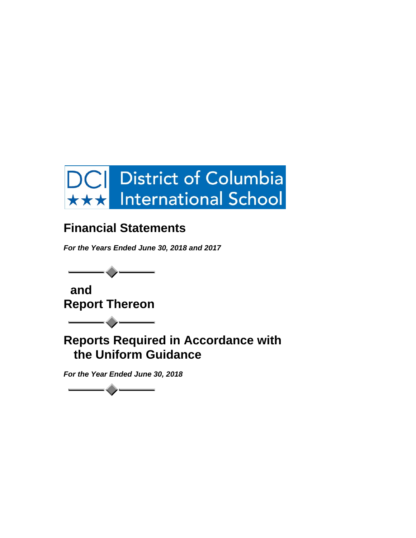# **DCI** District of Columbia \*\*\* International School

# **Financial Statements**

*For the Years Ended June 30, 2018 and 2017*

 $-\left\langle \bullet\right\rangle$  **and Report Thereon**

**Reports Required in Accordance with the Uniform Guidance**

*For the Year Ended June 30, 2018*

 $\overline{\phantom{a}}$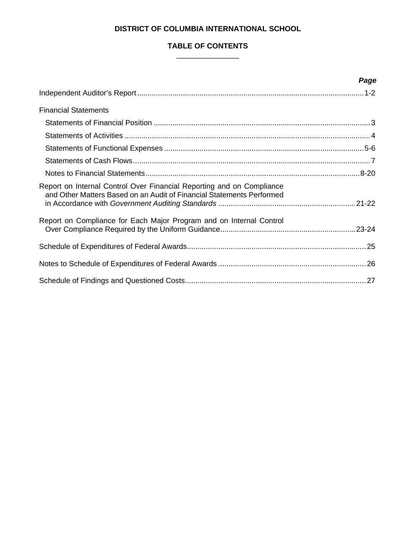# **TABLE OF CONTENTS** \_\_\_\_\_\_\_\_\_\_\_\_\_\_\_

|                                                                                                                                                | Page |
|------------------------------------------------------------------------------------------------------------------------------------------------|------|
|                                                                                                                                                |      |
| <b>Financial Statements</b>                                                                                                                    |      |
|                                                                                                                                                |      |
|                                                                                                                                                |      |
|                                                                                                                                                |      |
|                                                                                                                                                |      |
|                                                                                                                                                |      |
| Report on Internal Control Over Financial Reporting and on Compliance<br>and Other Matters Based on an Audit of Financial Statements Performed |      |
| Report on Compliance for Each Major Program and on Internal Control                                                                            |      |
|                                                                                                                                                |      |
|                                                                                                                                                |      |
|                                                                                                                                                |      |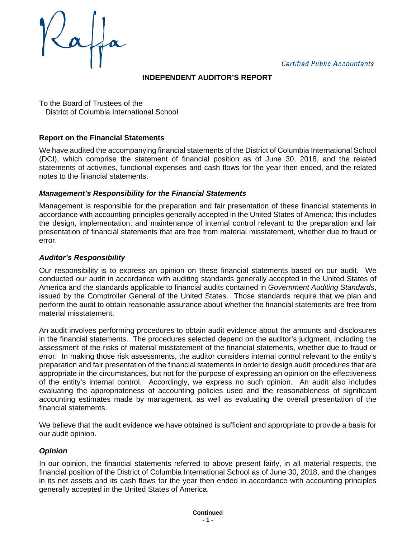**Certified Public Accountants** 

# **INDEPENDENT AUDITOR'S REPORT**

To the Board of Trustees of the District of Columbia International School

# **Report on the Financial Statements**

We have audited the accompanying financial statements of the District of Columbia International School (DCI), which comprise the statement of financial position as of June 30, 2018, and the related statements of activities, functional expenses and cash flows for the year then ended, and the related notes to the financial statements.

# *Management's Responsibility for the Financial Statements*

Management is responsible for the preparation and fair presentation of these financial statements in accordance with accounting principles generally accepted in the United States of America; this includes the design, implementation, and maintenance of internal control relevant to the preparation and fair presentation of financial statements that are free from material misstatement, whether due to fraud or error.

#### *Auditor's Responsibility*

Our responsibility is to express an opinion on these financial statements based on our audit. We conducted our audit in accordance with auditing standards generally accepted in the United States of America and the standards applicable to financial audits contained in *Government Auditing Standards*, issued by the Comptroller General of the United States. Those standards require that we plan and perform the audit to obtain reasonable assurance about whether the financial statements are free from material misstatement.

An audit involves performing procedures to obtain audit evidence about the amounts and disclosures in the financial statements. The procedures selected depend on the auditor's judgment, including the assessment of the risks of material misstatement of the financial statements, whether due to fraud or error. In making those risk assessments, the auditor considers internal control relevant to the entity's preparation and fair presentation of the financial statements in order to design audit procedures that are appropriate in the circumstances, but not for the purpose of expressing an opinion on the effectiveness of the entity's internal control. Accordingly, we express no such opinion. An audit also includes evaluating the appropriateness of accounting policies used and the reasonableness of significant accounting estimates made by management, as well as evaluating the overall presentation of the financial statements.

We believe that the audit evidence we have obtained is sufficient and appropriate to provide a basis for our audit opinion.

# *Opinion*

In our opinion, the financial statements referred to above present fairly, in all material respects, the financial position of the District of Columbia International School as of June 30, 2018, and the changes in its net assets and its cash flows for the year then ended in accordance with accounting principles generally accepted in the United States of America.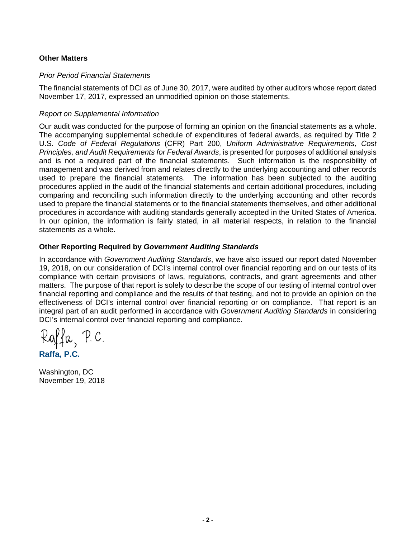# **Other Matters**

#### *Prior Period Financial Statements*

The financial statements of DCI as of June 30, 2017, were audited by other auditors whose report dated November 17, 2017, expressed an unmodified opinion on those statements.

#### *Report on Supplemental Information*

Our audit was conducted for the purpose of forming an opinion on the financial statements as a whole. The accompanying supplemental schedule of expenditures of federal awards, as required by Title 2 U.S. *Code of Federal Regulations* (CFR) Part 200, *Uniform Administrative Requirements, Cost Principles, and Audit Requirements for Federal Awards*, is presented for purposes of additional analysis and is not a required part of the financial statements. Such information is the responsibility of management and was derived from and relates directly to the underlying accounting and other records used to prepare the financial statements. The information has been subjected to the auditing procedures applied in the audit of the financial statements and certain additional procedures, including comparing and reconciling such information directly to the underlying accounting and other records used to prepare the financial statements or to the financial statements themselves, and other additional procedures in accordance with auditing standards generally accepted in the United States of America. In our opinion, the information is fairly stated, in all material respects, in relation to the financial statements as a whole.

# **Other Reporting Required by** *Government Auditing Standards*

In accordance with *Government Auditing Standards*, we have also issued our report dated November 19, 2018, on our consideration of DCI's internal control over financial reporting and on our tests of its compliance with certain provisions of laws, regulations, contracts, and grant agreements and other matters. The purpose of that report is solely to describe the scope of our testing of internal control over financial reporting and compliance and the results of that testing, and not to provide an opinion on the effectiveness of DCI's internal control over financial reporting or on compliance. That report is an integral part of an audit performed in accordance with *Government Auditing Standards* in considering DCI's internal control over financial reporting and compliance.

Raffa, P.C.

**Raffa, P.C.**

Washington, DC November 19, 2018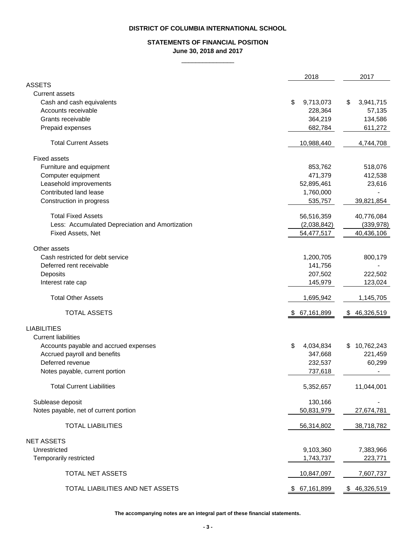# **STATEMENTS OF FINANCIAL POSITION**

\_\_\_\_\_\_\_\_\_\_\_\_\_\_\_ **June 30, 2018 and 2017**

| <b>ASSETS</b><br><b>Current assets</b><br>\$<br>9,713,073<br>Cash and cash equivalents<br>\$<br>3,941,715<br>Accounts receivable<br>228,364<br>57,135<br>364,219<br>Grants receivable<br>134,586<br>Prepaid expenses<br>682,784<br>611,272<br><b>Total Current Assets</b><br>10,988,440<br>4,744,708<br><b>Fixed assets</b><br>853,762<br>Furniture and equipment<br>518,076<br>471,379<br>Computer equipment<br>412,538<br>Leasehold improvements<br>23,616<br>52,895,461<br>Contributed land lease<br>1,760,000<br>Construction in progress<br>535,757<br>39,821,854<br><b>Total Fixed Assets</b><br>56,516,359<br>40,776,084<br>Less: Accumulated Depreciation and Amortization<br>(2,038,842)<br>(339, 978)<br>Fixed Assets, Net<br>54,477,517<br>40,436,106<br>Other assets<br>Cash restricted for debt service<br>1,200,705<br>800,179<br>Deferred rent receivable<br>141,756<br>207,502<br>222,502<br>Deposits<br>145,979<br>123,024<br>Interest rate cap<br><b>Total Other Assets</b><br>1,695,942<br>1,145,705<br><b>TOTAL ASSETS</b><br>46,326,519<br>\$67,161,899<br>\$<br><b>LIABILITIES</b> |                            | 2018 | 2017 |
|----------------------------------------------------------------------------------------------------------------------------------------------------------------------------------------------------------------------------------------------------------------------------------------------------------------------------------------------------------------------------------------------------------------------------------------------------------------------------------------------------------------------------------------------------------------------------------------------------------------------------------------------------------------------------------------------------------------------------------------------------------------------------------------------------------------------------------------------------------------------------------------------------------------------------------------------------------------------------------------------------------------------------------------------------------------------------------------------------------|----------------------------|------|------|
|                                                                                                                                                                                                                                                                                                                                                                                                                                                                                                                                                                                                                                                                                                                                                                                                                                                                                                                                                                                                                                                                                                          |                            |      |      |
|                                                                                                                                                                                                                                                                                                                                                                                                                                                                                                                                                                                                                                                                                                                                                                                                                                                                                                                                                                                                                                                                                                          |                            |      |      |
|                                                                                                                                                                                                                                                                                                                                                                                                                                                                                                                                                                                                                                                                                                                                                                                                                                                                                                                                                                                                                                                                                                          |                            |      |      |
|                                                                                                                                                                                                                                                                                                                                                                                                                                                                                                                                                                                                                                                                                                                                                                                                                                                                                                                                                                                                                                                                                                          |                            |      |      |
|                                                                                                                                                                                                                                                                                                                                                                                                                                                                                                                                                                                                                                                                                                                                                                                                                                                                                                                                                                                                                                                                                                          |                            |      |      |
|                                                                                                                                                                                                                                                                                                                                                                                                                                                                                                                                                                                                                                                                                                                                                                                                                                                                                                                                                                                                                                                                                                          |                            |      |      |
|                                                                                                                                                                                                                                                                                                                                                                                                                                                                                                                                                                                                                                                                                                                                                                                                                                                                                                                                                                                                                                                                                                          |                            |      |      |
|                                                                                                                                                                                                                                                                                                                                                                                                                                                                                                                                                                                                                                                                                                                                                                                                                                                                                                                                                                                                                                                                                                          |                            |      |      |
|                                                                                                                                                                                                                                                                                                                                                                                                                                                                                                                                                                                                                                                                                                                                                                                                                                                                                                                                                                                                                                                                                                          |                            |      |      |
|                                                                                                                                                                                                                                                                                                                                                                                                                                                                                                                                                                                                                                                                                                                                                                                                                                                                                                                                                                                                                                                                                                          |                            |      |      |
|                                                                                                                                                                                                                                                                                                                                                                                                                                                                                                                                                                                                                                                                                                                                                                                                                                                                                                                                                                                                                                                                                                          |                            |      |      |
|                                                                                                                                                                                                                                                                                                                                                                                                                                                                                                                                                                                                                                                                                                                                                                                                                                                                                                                                                                                                                                                                                                          |                            |      |      |
|                                                                                                                                                                                                                                                                                                                                                                                                                                                                                                                                                                                                                                                                                                                                                                                                                                                                                                                                                                                                                                                                                                          |                            |      |      |
|                                                                                                                                                                                                                                                                                                                                                                                                                                                                                                                                                                                                                                                                                                                                                                                                                                                                                                                                                                                                                                                                                                          |                            |      |      |
|                                                                                                                                                                                                                                                                                                                                                                                                                                                                                                                                                                                                                                                                                                                                                                                                                                                                                                                                                                                                                                                                                                          |                            |      |      |
|                                                                                                                                                                                                                                                                                                                                                                                                                                                                                                                                                                                                                                                                                                                                                                                                                                                                                                                                                                                                                                                                                                          |                            |      |      |
|                                                                                                                                                                                                                                                                                                                                                                                                                                                                                                                                                                                                                                                                                                                                                                                                                                                                                                                                                                                                                                                                                                          |                            |      |      |
|                                                                                                                                                                                                                                                                                                                                                                                                                                                                                                                                                                                                                                                                                                                                                                                                                                                                                                                                                                                                                                                                                                          |                            |      |      |
|                                                                                                                                                                                                                                                                                                                                                                                                                                                                                                                                                                                                                                                                                                                                                                                                                                                                                                                                                                                                                                                                                                          |                            |      |      |
|                                                                                                                                                                                                                                                                                                                                                                                                                                                                                                                                                                                                                                                                                                                                                                                                                                                                                                                                                                                                                                                                                                          |                            |      |      |
|                                                                                                                                                                                                                                                                                                                                                                                                                                                                                                                                                                                                                                                                                                                                                                                                                                                                                                                                                                                                                                                                                                          |                            |      |      |
|                                                                                                                                                                                                                                                                                                                                                                                                                                                                                                                                                                                                                                                                                                                                                                                                                                                                                                                                                                                                                                                                                                          |                            |      |      |
|                                                                                                                                                                                                                                                                                                                                                                                                                                                                                                                                                                                                                                                                                                                                                                                                                                                                                                                                                                                                                                                                                                          |                            |      |      |
|                                                                                                                                                                                                                                                                                                                                                                                                                                                                                                                                                                                                                                                                                                                                                                                                                                                                                                                                                                                                                                                                                                          |                            |      |      |
|                                                                                                                                                                                                                                                                                                                                                                                                                                                                                                                                                                                                                                                                                                                                                                                                                                                                                                                                                                                                                                                                                                          |                            |      |      |
|                                                                                                                                                                                                                                                                                                                                                                                                                                                                                                                                                                                                                                                                                                                                                                                                                                                                                                                                                                                                                                                                                                          |                            |      |      |
|                                                                                                                                                                                                                                                                                                                                                                                                                                                                                                                                                                                                                                                                                                                                                                                                                                                                                                                                                                                                                                                                                                          | <b>Current liabilities</b> |      |      |
| \$<br>Accounts payable and accrued expenses<br>4,034,834<br>10,762,243<br>\$                                                                                                                                                                                                                                                                                                                                                                                                                                                                                                                                                                                                                                                                                                                                                                                                                                                                                                                                                                                                                             |                            |      |      |
| Accrued payroll and benefits<br>347,668<br>221,459                                                                                                                                                                                                                                                                                                                                                                                                                                                                                                                                                                                                                                                                                                                                                                                                                                                                                                                                                                                                                                                       |                            |      |      |
| Deferred revenue<br>60,299<br>232,537                                                                                                                                                                                                                                                                                                                                                                                                                                                                                                                                                                                                                                                                                                                                                                                                                                                                                                                                                                                                                                                                    |                            |      |      |
| Notes payable, current portion<br>737,618                                                                                                                                                                                                                                                                                                                                                                                                                                                                                                                                                                                                                                                                                                                                                                                                                                                                                                                                                                                                                                                                |                            |      |      |
|                                                                                                                                                                                                                                                                                                                                                                                                                                                                                                                                                                                                                                                                                                                                                                                                                                                                                                                                                                                                                                                                                                          |                            |      |      |
| <b>Total Current Liabilities</b><br>5,352,657<br>11,044,001                                                                                                                                                                                                                                                                                                                                                                                                                                                                                                                                                                                                                                                                                                                                                                                                                                                                                                                                                                                                                                              |                            |      |      |
| Sublease deposit<br>130,166                                                                                                                                                                                                                                                                                                                                                                                                                                                                                                                                                                                                                                                                                                                                                                                                                                                                                                                                                                                                                                                                              |                            |      |      |
| Notes payable, net of current portion<br>27,674,781<br>50,831,979                                                                                                                                                                                                                                                                                                                                                                                                                                                                                                                                                                                                                                                                                                                                                                                                                                                                                                                                                                                                                                        |                            |      |      |
|                                                                                                                                                                                                                                                                                                                                                                                                                                                                                                                                                                                                                                                                                                                                                                                                                                                                                                                                                                                                                                                                                                          |                            |      |      |
| <b>TOTAL LIABILITIES</b><br>38,718,782<br>56,314,802                                                                                                                                                                                                                                                                                                                                                                                                                                                                                                                                                                                                                                                                                                                                                                                                                                                                                                                                                                                                                                                     |                            |      |      |
| <b>NET ASSETS</b>                                                                                                                                                                                                                                                                                                                                                                                                                                                                                                                                                                                                                                                                                                                                                                                                                                                                                                                                                                                                                                                                                        |                            |      |      |
| Unrestricted<br>9,103,360<br>7,383,966                                                                                                                                                                                                                                                                                                                                                                                                                                                                                                                                                                                                                                                                                                                                                                                                                                                                                                                                                                                                                                                                   |                            |      |      |
| Temporarily restricted<br>1,743,737<br>223,771                                                                                                                                                                                                                                                                                                                                                                                                                                                                                                                                                                                                                                                                                                                                                                                                                                                                                                                                                                                                                                                           |                            |      |      |
| <b>TOTAL NET ASSETS</b><br>7,607,737<br>10,847,097                                                                                                                                                                                                                                                                                                                                                                                                                                                                                                                                                                                                                                                                                                                                                                                                                                                                                                                                                                                                                                                       |                            |      |      |
| TOTAL LIABILITIES AND NET ASSETS<br>67,161,899<br>46,326,519<br>\$<br>P.                                                                                                                                                                                                                                                                                                                                                                                                                                                                                                                                                                                                                                                                                                                                                                                                                                                                                                                                                                                                                                 |                            |      |      |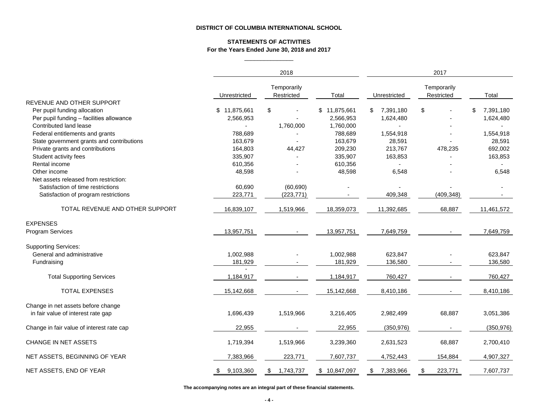# **STATEMENTS OF ACTIVITIES For the Years Ended June 30, 2018 and 2017**

 $\overline{\phantom{a}}$  , where  $\overline{\phantom{a}}$ 

|                                           | 2018                       |                            |                  | 2017                   |                           |                 |
|-------------------------------------------|----------------------------|----------------------------|------------------|------------------------|---------------------------|-----------------|
|                                           | Unrestricted               | Temporarily<br>Restricted  | Total            | Unrestricted           | Temporarily<br>Restricted | Total           |
| REVENUE AND OTHER SUPPORT                 |                            |                            |                  |                        |                           |                 |
| Per pupil funding allocation              | \$<br>11,875,661           | \$                         | \$<br>11,875,661 | 7,391,180<br>\$        | \$                        | 7,391,180<br>\$ |
| Per pupil funding - facilities allowance  | 2,566,953                  |                            | 2,566,953        | 1,624,480              |                           | 1,624,480       |
| Contributed land lease                    |                            | 1,760,000                  | 1,760,000        |                        |                           |                 |
| Federal entitlements and grants           | 788,689                    |                            | 788,689          | 1,554,918              |                           | 1,554,918       |
| State government grants and contributions | 163,679                    |                            | 163,679          | 28,591                 |                           | 28,591          |
| Private grants and contributions          | 164,803                    | 44,427                     | 209,230          | 213,767                | 478,235                   | 692,002         |
| Student activity fees                     | 335,907                    |                            | 335,907          | 163,853                |                           | 163,853         |
| Rental income                             | 610,356                    |                            | 610,356          |                        |                           |                 |
| Other income                              | 48,598                     |                            | 48,598           | 6,548                  |                           | 6,548           |
| Net assets released from restriction:     |                            |                            |                  |                        |                           |                 |
| Satisfaction of time restrictions         | 60,690                     | (60, 690)                  |                  |                        |                           |                 |
| Satisfaction of program restrictions      | 223,771                    | (223, 771)                 |                  | 409,348                | (409, 348)                |                 |
| TOTAL REVENUE AND OTHER SUPPORT           | 16,839,107                 | 1,519,966                  | 18,359,073       | 11,392,685             | 68,887                    | 11,461,572      |
| <b>EXPENSES</b>                           |                            |                            |                  |                        |                           |                 |
| <b>Program Services</b>                   | 13,957,751                 |                            | 13,957,751       | 7,649,759              |                           | 7,649,759       |
| <b>Supporting Services:</b>               |                            |                            |                  |                        |                           |                 |
| General and administrative                | 1,002,988                  |                            | 1,002,988        | 623,847                |                           | 623,847         |
| Fundraising                               | 181,929                    |                            | 181,929          | 136,580                |                           | 136,580         |
| <b>Total Supporting Services</b>          | 1,184,917                  |                            | 1,184,917        | 760,427                |                           | 760,427         |
| <b>TOTAL EXPENSES</b>                     | 15,142,668                 |                            | 15,142,668       | 8,410,186              |                           | 8,410,186       |
| Change in net assets before change        |                            |                            |                  |                        |                           |                 |
| in fair value of interest rate gap        | 1,696,439                  | 1,519,966                  | 3,216,405        | 2,982,499              | 68,887                    | 3,051,386       |
| Change in fair value of interest rate cap | 22,955                     |                            | 22,955           | (350, 976)             |                           | (350, 976)      |
| <b>CHANGE IN NET ASSETS</b>               | 1,719,394                  | 1,519,966                  | 3,239,360        | 2,631,523              | 68,887                    | 2,700,410       |
| NET ASSETS, BEGINNING OF YEAR             | 7,383,966                  | 223,771                    | 7,607,737        | 4,752,443              | 154,884                   | 4,907,327       |
| NET ASSETS, END OF YEAR                   | 9,103,360<br>$\frac{1}{2}$ | 1,743,737<br>$\frac{1}{2}$ | \$10,847,097     | 7,383,966<br><u>\$</u> | 223,771                   | 7,607,737       |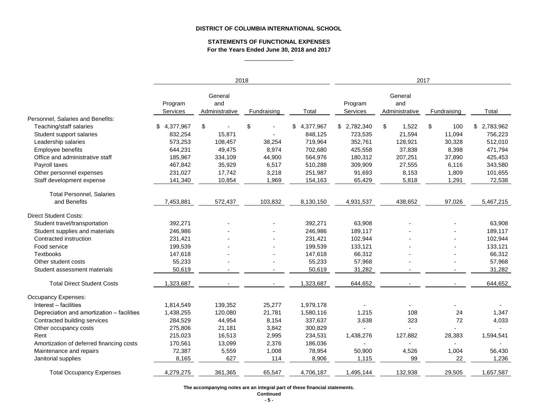# **STATEMENTS OF FUNCTIONAL EXPENSES For the Years Ended June 30, 2018 and 2017**

 $\overline{\phantom{a}}$  , where the contract of the contract of  $\overline{\phantom{a}}$ 

|                                            | 2018                       |                                  |                | 2017            |                     |                                  |                |             |
|--------------------------------------------|----------------------------|----------------------------------|----------------|-----------------|---------------------|----------------------------------|----------------|-------------|
|                                            | Program<br><b>Services</b> | General<br>and<br>Administrative | Fundraising    | Total           | Program<br>Services | General<br>and<br>Administrative | Fundraising    | Total       |
| Personnel, Salaries and Benefits:          |                            |                                  |                |                 |                     |                                  |                |             |
| Teaching/staff salaries                    | 4,377,967<br>\$            | $\$\$                            | \$             | \$<br>4,377,967 | \$2,782,340         | 1,522<br>\$                      | \$<br>100      | \$2,783,962 |
| Student support salaries                   | 832,254                    | 15,871                           |                | 848,125         | 723,535             | 21,594                           | 11,094         | 756,223     |
| Leadership salaries                        | 573,253                    | 108,457                          | 38,254         | 719,964         | 352,761             | 128,921                          | 30,328         | 512,010     |
| Employee benefits                          | 644,231                    | 49,475                           | 8,974          | 702,680         | 425,558             | 37,838                           | 8,398          | 471,794     |
| Office and administrative staff            | 185,967                    | 334,109                          | 44,900         | 564,976         | 180,312             | 207,251                          | 37,890         | 425,453     |
| Payroll taxes                              | 467,842                    | 35,929                           | 6,517          | 510,288         | 309,909             | 27,555                           | 6,116          | 343,580     |
| Other personnel expenses                   | 231,027                    | 17,742                           | 3,218          | 251,987         | 91,693              | 8,153                            | 1,809          | 101,655     |
| Staff development expense                  | 141,340                    | 10,854                           | 1,969          | 154,163         | 65,429              | 5,818                            | 1,291          | 72,538      |
| <b>Total Personnel, Salaries</b>           |                            |                                  |                |                 |                     |                                  |                |             |
| and Benefits                               | 7,453,881                  | 572,437                          | 103,832        | 8,130,150       | 4,931,537           | 438,652                          | 97,026         | 5,467,215   |
| <b>Direct Student Costs:</b>               |                            |                                  |                |                 |                     |                                  |                |             |
| Student travel/transportation              | 392,271                    |                                  |                | 392,271         | 63,908              |                                  |                | 63,908      |
| Student supplies and materials             | 246,986                    |                                  |                | 246,986         | 189,117             |                                  |                | 189,117     |
| Contracted instruction                     | 231,421                    |                                  |                | 231,421         | 102,944             |                                  |                | 102,944     |
| Food service                               | 199,539                    |                                  |                | 199,539         | 133,121             |                                  |                | 133,121     |
| <b>Textbooks</b>                           | 147,618                    |                                  |                | 147,618         | 66,312              |                                  |                | 66,312      |
| Other student costs                        | 55,233                     |                                  |                | 55,233          | 57,968              |                                  |                | 57,968      |
| Student assessment materials               | 50,619                     |                                  |                | 50,619          | 31,282              |                                  | $\blacksquare$ | 31,282      |
| <b>Total Direct Student Costs</b>          | 1,323,687                  |                                  | $\blacksquare$ | 1,323,687       | 644,652             |                                  | $\blacksquare$ | 644,652     |
| <b>Occupancy Expenses:</b>                 |                            |                                  |                |                 |                     |                                  |                |             |
| Interest - facilities                      | 1,814,549                  | 139,352                          | 25,277         | 1,979,178       |                     |                                  |                |             |
| Depreciation and amortization - facilities | 1,438,255                  | 120,080                          | 21,781         | 1,580,116       | 1,215               | 108                              | 24             | 1,347       |
| Contracted building services               | 284,529                    | 44,954                           | 8,154          | 337,637         | 3,638               | 323                              | 72             | 4,033       |
| Other occupancy costs                      | 275,806                    | 21,181                           | 3,842          | 300,829         |                     |                                  |                |             |
| Rent                                       | 215,023                    | 16,513                           | 2,995          | 234,531         | 1,438,276           | 127,882                          | 28,383         | 1,594,541   |
| Amortization of deferred financing costs   | 170,561                    | 13,099                           | 2,376          | 186,036         |                     |                                  |                |             |
| Maintenance and repairs                    | 72,387                     | 5,559                            | 1,008          | 78,954          | 50,900              | 4,526                            | 1,004          | 56,430      |
| Janitorial supplies                        | 8,165                      | 627                              | 114            | 8,906           | 1,115               | 99                               | 22             | 1,236       |
| <b>Total Occupancy Expenses</b>            | 4,279,275                  | 361,365                          | 65,547         | 4,706,187       | 1,495,144           | 132,938                          | 29,505         | 1,657,587   |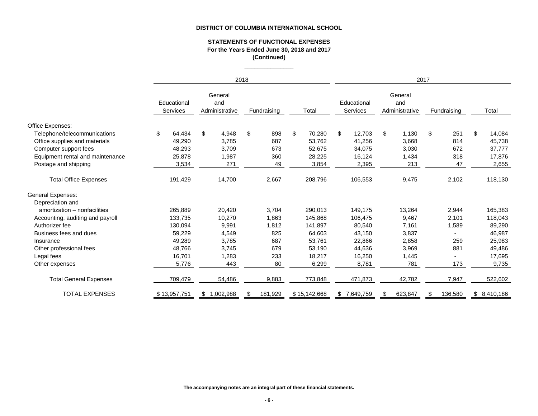# **STATEMENTS OF FUNCTIONAL EXPENSES For the Years Ended June 30, 2018 and 2017 (Continued)**

 $\frac{1}{2}$  , and the set of the set of the set of the set of the set of the set of the set of the set of the set of the set of the set of the set of the set of the set of the set of the set of the set of the set of the set

|                                  |                         |                                  | 2018                             |                          |                          |                                  | 2017          |              |
|----------------------------------|-------------------------|----------------------------------|----------------------------------|--------------------------|--------------------------|----------------------------------|---------------|--------------|
|                                  | Educational<br>Services | General<br>and<br>Administrative | Fundraising                      | Total                    | Educational<br>Services  | General<br>and<br>Administrative | Fundraising   | Total        |
| Office Expenses:                 |                         |                                  |                                  |                          |                          |                                  |               |              |
| Telephone/telecommunications     | \$<br>64,434            | $\mathfrak{S}$<br>4,948          | $\boldsymbol{\mathsf{S}}$<br>898 | $\mathfrak{L}$<br>70,280 | $\mathfrak{L}$<br>12,703 | $\mathfrak{L}$<br>1,130          | \$<br>251     | \$<br>14,084 |
| Office supplies and materials    | 49,290                  | 3,785                            | 687                              | 53,762                   | 41,256                   | 3,668                            | 814           | 45,738       |
| Computer support fees            | 48,293                  | 3,709                            | 673                              | 52,675                   | 34,075                   | 3,030                            | 672           | 37,777       |
| Equipment rental and maintenance | 25,878                  | 1,987                            | 360                              | 28,225                   | 16,124                   | 1,434                            | 318           | 17,876       |
| Postage and shipping             | 3,534                   | 271                              | 49                               | 3,854                    | 2,395                    | 213                              | 47            | 2,655        |
| <b>Total Office Expenses</b>     | 191,429                 | 14,700                           | 2,667                            | 208,796                  | 106,553                  | 9,475                            | 2,102         | 118,130      |
| <b>General Expenses:</b>         |                         |                                  |                                  |                          |                          |                                  |               |              |
| Depreciation and                 |                         |                                  |                                  |                          |                          |                                  |               |              |
| amortization - nonfacilities     | 265,889                 | 20,420                           | 3,704                            | 290,013                  | 149,175                  | 13,264                           | 2,944         | 165,383      |
| Accounting, auditing and payroll | 133,735                 | 10,270                           | 1,863                            | 145,868                  | 106,475                  | 9,467                            | 2,101         | 118,043      |
| Authorizer fee                   | 130,094                 | 9,991                            | 1,812                            | 141,897                  | 80,540                   | 7,161                            | 1,589         | 89,290       |
| Business fees and dues           | 59,229                  | 4,549                            | 825                              | 64,603                   | 43,150                   | 3,837                            |               | 46,987       |
| Insurance                        | 49,289                  | 3,785                            | 687                              | 53,761                   | 22,866                   | 2,858                            | 259           | 25,983       |
| Other professional fees          | 48,766                  | 3,745                            | 679                              | 53,190                   | 44,636                   | 3,969                            | 881           | 49,486       |
| Legal fees                       | 16,701                  | 1,283                            | 233                              | 18,217                   | 16,250                   | 1,445                            |               | 17,695       |
| Other expenses                   | 5,776                   | 443                              | 80                               | 6,299                    | 8,781                    | 781                              | 173           | 9,735        |
| <b>Total General Expenses</b>    | 709,479                 | 54,486                           | 9,883                            | 773,848                  | 471,873                  | 42,782                           | 7,947         | 522,602      |
| <b>TOTAL EXPENSES</b>            | \$13,957,751            | \$1,002,988                      | 181,929<br>\$                    | \$15,142,668             | \$7,649,759              | 623,847<br>\$                    | \$<br>136,580 | \$8,410,186  |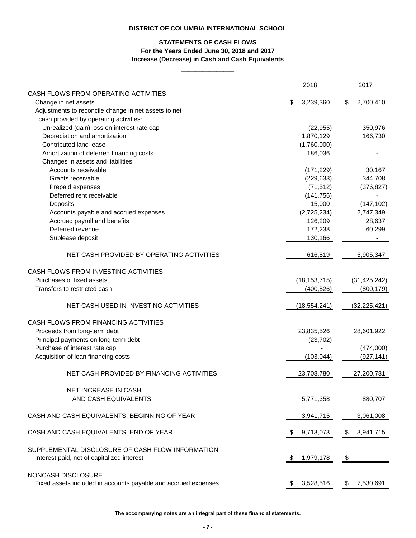# **Increase (Decrease) in Cash and Cash Equivalents STATEMENTS OF CASH FLOWS For the Years Ended June 30, 2018 and 2017**

 $\overline{\phantom{a}}$  , where  $\overline{\phantom{a}}$ 

|                                                                                                | 2018             | 2017            |
|------------------------------------------------------------------------------------------------|------------------|-----------------|
| CASH FLOWS FROM OPERATING ACTIVITIES                                                           |                  |                 |
| Change in net assets<br>Adjustments to reconcile change in net assets to net                   | \$<br>3,239,360  | \$<br>2,700,410 |
| cash provided by operating activities:                                                         |                  |                 |
| Unrealized (gain) loss on interest rate cap                                                    | (22, 955)        | 350,976         |
| Depreciation and amortization                                                                  | 1,870,129        | 166,730         |
| Contributed land lease                                                                         | (1,760,000)      |                 |
| Amortization of deferred financing costs                                                       | 186,036          |                 |
| Changes in assets and liabilities:                                                             |                  |                 |
| Accounts receivable                                                                            | (171, 229)       | 30,167          |
| Grants receivable                                                                              | (229, 633)       | 344,708         |
| Prepaid expenses                                                                               | (71, 512)        | (376, 827)      |
| Deferred rent receivable                                                                       | (141, 756)       |                 |
| Deposits                                                                                       | 15,000           | (147, 102)      |
| Accounts payable and accrued expenses                                                          | (2,725,234)      | 2,747,349       |
| Accrued payroll and benefits                                                                   | 126,209          | 28,637          |
| Deferred revenue                                                                               | 172,238          | 60,299          |
| Sublease deposit                                                                               | 130,166          |                 |
|                                                                                                |                  |                 |
| NET CASH PROVIDED BY OPERATING ACTIVITIES                                                      | 616,819          | 5,905,347       |
| CASH FLOWS FROM INVESTING ACTIVITIES                                                           |                  |                 |
| Purchases of fixed assets                                                                      | (18, 153, 715)   | (31, 425, 242)  |
| Transfers to restricted cash                                                                   | (400, 526)       | (800, 179)      |
| NET CASH USED IN INVESTING ACTIVITIES                                                          | (18, 554, 241)   | (32, 225, 421)  |
| CASH FLOWS FROM FINANCING ACTIVITIES                                                           |                  |                 |
| Proceeds from long-term debt                                                                   | 23,835,526       | 28,601,922      |
| Principal payments on long-term debt                                                           | (23, 702)        |                 |
| Purchase of interest rate cap                                                                  |                  | (474,000)       |
| Acquisition of loan financing costs                                                            | (103, 044)       | (927, 141)      |
| NET CASH PROVIDED BY FINANCING ACTIVITIES                                                      | 23,708,780       | 27,200,781      |
| <b>NET INCREASE IN CASH</b>                                                                    |                  |                 |
| AND CASH EQUIVALENTS                                                                           | 5,771,358        | 880,707         |
| CASH AND CASH EQUIVALENTS, BEGINNING OF YEAR                                                   | 3,941,715        | 3,061,008       |
| CASH AND CASH EQUIVALENTS, END OF YEAR                                                         | 9,713,073<br>\$  | \$3,941,715     |
| SUPPLEMENTAL DISCLOSURE OF CASH FLOW INFORMATION<br>Interest paid, net of capitalized interest | 1,979,178<br>\$  | \$              |
|                                                                                                |                  |                 |
| NONCASH DISCLOSURE<br>Fixed assets included in accounts payable and accrued expenses           | 3,528,516<br>\$. | 7,530,691<br>\$ |
|                                                                                                |                  |                 |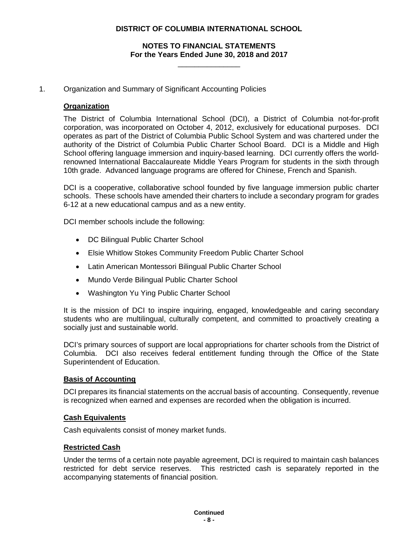# **NOTES TO FINANCIAL STATEMENTS For the Years Ended June 30, 2018 and 2017**

\_\_\_\_\_\_\_\_\_\_\_\_\_\_\_

#### 1. Organization and Summary of Significant Accounting Policies

#### **Organization**

The District of Columbia International School (DCI), a District of Columbia not-for-profit corporation, was incorporated on October 4, 2012, exclusively for educational purposes. DCI operates as part of the District of Columbia Public School System and was chartered under the authority of the District of Columbia Public Charter School Board. DCI is a Middle and High School offering language immersion and inquiry-based learning. DCI currently offers the worldrenowned International Baccalaureate Middle Years Program for students in the sixth through 10th grade. Advanced language programs are offered for Chinese, French and Spanish.

DCI is a cooperative, collaborative school founded by five language immersion public charter schools. These schools have amended their charters to include a secondary program for grades 6-12 at a new educational campus and as a new entity.

DCI member schools include the following:

- DC Bilingual Public Charter School
- Elsie Whitlow Stokes Community Freedom Public Charter School
- Latin American Montessori Bilingual Public Charter School
- Mundo Verde Bilingual Public Charter School
- Washington Yu Ying Public Charter School

It is the mission of DCI to inspire inquiring, engaged, knowledgeable and caring secondary students who are multilingual, culturally competent, and committed to proactively creating a socially just and sustainable world.

DCI's primary sources of support are local appropriations for charter schools from the District of Columbia. DCI also receives federal entitlement funding through the Office of the State Superintendent of Education.

# **Basis of Accounting**

DCI prepares its financial statements on the accrual basis of accounting. Consequently, revenue is recognized when earned and expenses are recorded when the obligation is incurred.

#### **Cash Equivalents**

Cash equivalents consist of money market funds.

#### **Restricted Cash**

Under the terms of a certain note payable agreement, DCI is required to maintain cash balances restricted for debt service reserves. This restricted cash is separately reported in the accompanying statements of financial position.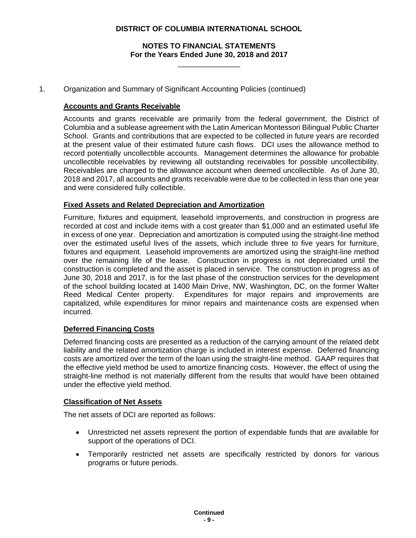# **NOTES TO FINANCIAL STATEMENTS For the Years Ended June 30, 2018 and 2017**

\_\_\_\_\_\_\_\_\_\_\_\_\_\_\_

1. Organization and Summary of Significant Accounting Policies (continued)

# **Accounts and Grants Receivable**

Accounts and grants receivable are primarily from the federal government, the District of Columbia and a sublease agreement with the Latin American Montessori Bilingual Public Charter School. Grants and contributions that are expected to be collected in future years are recorded at the present value of their estimated future cash flows. DCI uses the allowance method to record potentially uncollectible accounts. Management determines the allowance for probable uncollectible receivables by reviewing all outstanding receivables for possible uncollectibility. Receivables are charged to the allowance account when deemed uncollectible. As of June 30, 2018 and 2017, all accounts and grants receivable were due to be collected in less than one year and were considered fully collectible.

# **Fixed Assets and Related Depreciation and Amortization**

Furniture, fixtures and equipment, leasehold improvements, and construction in progress are recorded at cost and include items with a cost greater than \$1,000 and an estimated useful life in excess of one year. Depreciation and amortization is computed using the straight-line method over the estimated useful lives of the assets, which include three to five years for furniture, fixtures and equipment. Leasehold improvements are amortized using the straight-line method over the remaining life of the lease. Construction in progress is not depreciated until the construction is completed and the asset is placed in service. The construction in progress as of June 30, 2018 and 2017, is for the last phase of the construction services for the development of the school building located at 1400 Main Drive, NW, Washington, DC, on the former Walter Reed Medical Center property. Expenditures for major repairs and improvements are capitalized, while expenditures for minor repairs and maintenance costs are expensed when incurred.

# **Deferred Financing Costs**

Deferred financing costs are presented as a reduction of the carrying amount of the related debt liability and the related amortization charge is included in interest expense. Deferred financing costs are amortized over the term of the loan using the straight-line method. GAAP requires that the effective yield method be used to amortize financing costs. However, the effect of using the straight-line method is not materially different from the results that would have been obtained under the effective yield method.

#### **Classification of Net Assets**

The net assets of DCI are reported as follows:

- Unrestricted net assets represent the portion of expendable funds that are available for support of the operations of DCI.
- Temporarily restricted net assets are specifically restricted by donors for various programs or future periods.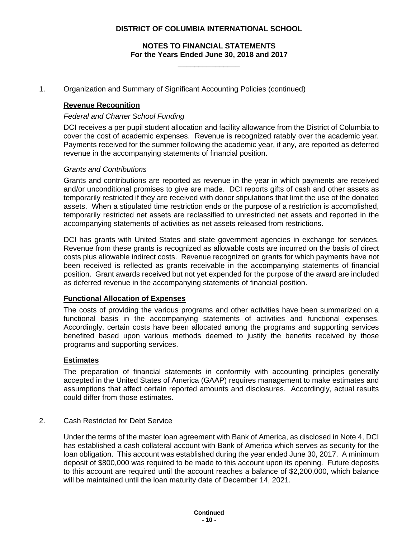# **NOTES TO FINANCIAL STATEMENTS For the Years Ended June 30, 2018 and 2017**

\_\_\_\_\_\_\_\_\_\_\_\_\_\_\_

1. Organization and Summary of Significant Accounting Policies (continued)

#### **Revenue Recognition**

#### *Federal and Charter School Funding*

DCI receives a per pupil student allocation and facility allowance from the District of Columbia to cover the cost of academic expenses. Revenue is recognized ratably over the academic year. Payments received for the summer following the academic year, if any, are reported as deferred revenue in the accompanying statements of financial position.

# *Grants and Contributions*

Grants and contributions are reported as revenue in the year in which payments are received and/or unconditional promises to give are made. DCI reports gifts of cash and other assets as temporarily restricted if they are received with donor stipulations that limit the use of the donated assets. When a stipulated time restriction ends or the purpose of a restriction is accomplished, temporarily restricted net assets are reclassified to unrestricted net assets and reported in the accompanying statements of activities as net assets released from restrictions.

DCI has grants with United States and state government agencies in exchange for services. Revenue from these grants is recognized as allowable costs are incurred on the basis of direct costs plus allowable indirect costs. Revenue recognized on grants for which payments have not been received is reflected as grants receivable in the accompanying statements of financial position. Grant awards received but not yet expended for the purpose of the award are included as deferred revenue in the accompanying statements of financial position.

# **Functional Allocation of Expenses**

The costs of providing the various programs and other activities have been summarized on a functional basis in the accompanying statements of activities and functional expenses. Accordingly, certain costs have been allocated among the programs and supporting services benefited based upon various methods deemed to justify the benefits received by those programs and supporting services.

#### **Estimates**

The preparation of financial statements in conformity with accounting principles generally accepted in the United States of America (GAAP) requires management to make estimates and assumptions that affect certain reported amounts and disclosures. Accordingly, actual results could differ from those estimates.

#### 2. Cash Restricted for Debt Service

Under the terms of the master loan agreement with Bank of America, as disclosed in Note 4, DCI has established a cash collateral account with Bank of America which serves as security for the loan obligation. This account was established during the year ended June 30, 2017. A minimum deposit of \$800,000 was required to be made to this account upon its opening. Future deposits to this account are required until the account reaches a balance of \$2,200,000, which balance will be maintained until the loan maturity date of December 14, 2021.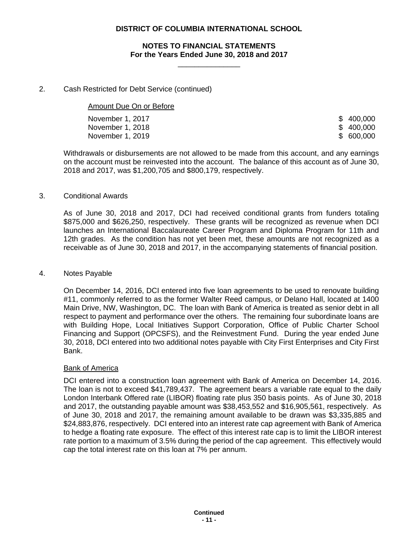#### **NOTES TO FINANCIAL STATEMENTS For the Years Ended June 30, 2018 and 2017**

\_\_\_\_\_\_\_\_\_\_\_\_\_\_\_

#### 2. Cash Restricted for Debt Service (continued)

#### Amount Due On or Before

November 1, 2017 **\$ 400,000** November 1, 2018 **\$ 400,000** November 1, 2019 **\$** 600,000

Withdrawals or disbursements are not allowed to be made from this account, and any earnings on the account must be reinvested into the account. The balance of this account as of June 30, 2018 and 2017, was \$1,200,705 and \$800,179, respectively.

#### 3. Conditional Awards

As of June 30, 2018 and 2017, DCI had received conditional grants from funders totaling \$875,000 and \$626,250, respectively. These grants will be recognized as revenue when DCI launches an International Baccalaureate Career Program and Diploma Program for 11th and 12th grades. As the condition has not yet been met, these amounts are not recognized as a receivable as of June 30, 2018 and 2017, in the accompanying statements of financial position.

#### 4. Notes Payable

On December 14, 2016, DCI entered into five loan agreements to be used to renovate building #11, commonly referred to as the former Walter Reed campus, or Delano Hall, located at 1400 Main Drive, NW, Washington, DC. The loan with Bank of America is treated as senior debt in all respect to payment and performance over the others. The remaining four subordinate loans are with Building Hope, Local Initiatives Support Corporation, Office of Public Charter School Financing and Support (OPCSFS), and the Reinvestment Fund. During the year ended June 30, 2018, DCI entered into two additional notes payable with City First Enterprises and City First Bank.

#### Bank of America

DCI entered into a construction loan agreement with Bank of America on December 14, 2016. The loan is not to exceed \$41,789,437. The agreement bears a variable rate equal to the daily London Interbank Offered rate (LIBOR) floating rate plus 350 basis points. As of June 30, 2018 and 2017, the outstanding payable amount was \$38,453,552 and \$16,905,561, respectively. As of June 30, 2018 and 2017, the remaining amount available to be drawn was \$3,335,885 and \$24,883,876, respectively. DCI entered into an interest rate cap agreement with Bank of America to hedge a floating rate exposure. The effect of this interest rate cap is to limit the LIBOR interest rate portion to a maximum of 3.5% during the period of the cap agreement. This effectively would cap the total interest rate on this loan at 7% per annum.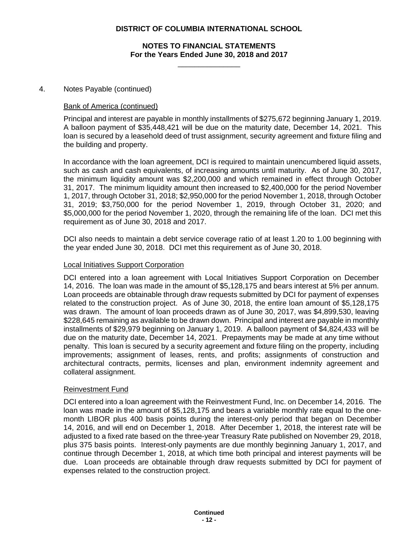#### **NOTES TO FINANCIAL STATEMENTS For the Years Ended June 30, 2018 and 2017**

\_\_\_\_\_\_\_\_\_\_\_\_\_\_\_

#### 4. Notes Payable (continued)

#### Bank of America (continued)

Principal and interest are payable in monthly installments of \$275,672 beginning January 1, 2019. A balloon payment of \$35,448,421 will be due on the maturity date, December 14, 2021. This loan is secured by a leasehold deed of trust assignment, security agreement and fixture filing and the building and property.

In accordance with the loan agreement, DCI is required to maintain unencumbered liquid assets, such as cash and cash equivalents, of increasing amounts until maturity. As of June 30, 2017, the minimum liquidity amount was \$2,200,000 and which remained in effect through October 31, 2017. The minimum liquidity amount then increased to \$2,400,000 for the period November 1, 2017, through October 31, 2018; \$2,950,000 for the period November 1, 2018, through October 31, 2019; \$3,750,000 for the period November 1, 2019, through October 31, 2020; and \$5,000,000 for the period November 1, 2020, through the remaining life of the loan. DCI met this requirement as of June 30, 2018 and 2017.

DCI also needs to maintain a debt service coverage ratio of at least 1.20 to 1.00 beginning with the year ended June 30, 2018. DCI met this requirement as of June 30, 2018.

#### Local Initiatives Support Corporation

DCI entered into a loan agreement with Local Initiatives Support Corporation on December 14, 2016. The loan was made in the amount of \$5,128,175 and bears interest at 5% per annum. Loan proceeds are obtainable through draw requests submitted by DCI for payment of expenses related to the construction project. As of June 30, 2018, the entire loan amount of \$5,128,175 was drawn. The amount of loan proceeds drawn as of June 30, 2017, was \$4,899,530, leaving \$228,645 remaining as available to be drawn down. Principal and interest are payable in monthly installments of \$29,979 beginning on January 1, 2019. A balloon payment of \$4,824,433 will be due on the maturity date, December 14, 2021. Prepayments may be made at any time without penalty. This loan is secured by a security agreement and fixture filing on the property, including improvements; assignment of leases, rents, and profits; assignments of construction and architectural contracts, permits, licenses and plan, environment indemnity agreement and collateral assignment.

#### Reinvestment Fund

DCI entered into a loan agreement with the Reinvestment Fund, Inc. on December 14, 2016. The loan was made in the amount of \$5,128,175 and bears a variable monthly rate equal to the onemonth LIBOR plus 400 basis points during the interest-only period that began on December 14, 2016, and will end on December 1, 2018. After December 1, 2018, the interest rate will be adjusted to a fixed rate based on the three-year Treasury Rate published on November 29, 2018, plus 375 basis points. Interest-only payments are due monthly beginning January 1, 2017, and continue through December 1, 2018, at which time both principal and interest payments will be due. Loan proceeds are obtainable through draw requests submitted by DCI for payment of expenses related to the construction project.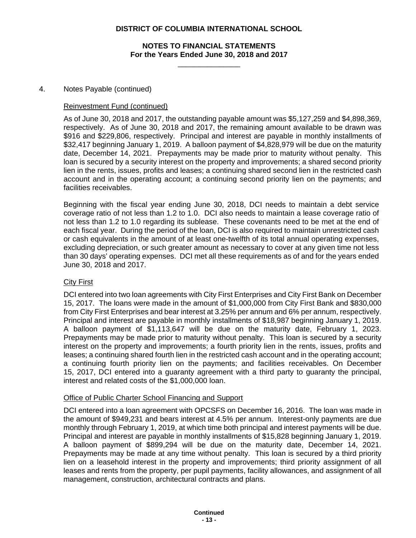#### **NOTES TO FINANCIAL STATEMENTS For the Years Ended June 30, 2018 and 2017**

\_\_\_\_\_\_\_\_\_\_\_\_\_\_\_

#### 4. Notes Payable (continued)

#### Reinvestment Fund (continued)

As of June 30, 2018 and 2017, the outstanding payable amount was \$5,127,259 and \$4,898,369, respectively. As of June 30, 2018 and 2017, the remaining amount available to be drawn was \$916 and \$229,806, respectively. Principal and interest are payable in monthly installments of \$32,417 beginning January 1, 2019. A balloon payment of \$4,828,979 will be due on the maturity date, December 14, 2021. Prepayments may be made prior to maturity without penalty. This loan is secured by a security interest on the property and improvements; a shared second priority lien in the rents, issues, profits and leases; a continuing shared second lien in the restricted cash account and in the operating account; a continuing second priority lien on the payments; and facilities receivables.

Beginning with the fiscal year ending June 30, 2018, DCI needs to maintain a debt service coverage ratio of not less than 1.2 to 1.0. DCI also needs to maintain a lease coverage ratio of not less than 1.2 to 1.0 regarding its sublease. These covenants need to be met at the end of each fiscal year. During the period of the loan, DCI is also required to maintain unrestricted cash or cash equivalents in the amount of at least one-twelfth of its total annual operating expenses, excluding depreciation, or such greater amount as necessary to cover at any given time not less than 30 days' operating expenses. DCI met all these requirements as of and for the years ended June 30, 2018 and 2017.

#### City First

DCI entered into two loan agreements with City First Enterprises and City First Bank on December 15, 2017. The loans were made in the amount of \$1,000,000 from City First Bank and \$830,000 from City First Enterprises and bear interest at 3.25% per annum and 6% per annum, respectively. Principal and interest are payable in monthly installments of \$18,987 beginning January 1, 2019. A balloon payment of \$1,113,647 will be due on the maturity date, February 1, 2023. Prepayments may be made prior to maturity without penalty. This loan is secured by a security interest on the property and improvements; a fourth priority lien in the rents, issues, profits and leases; a continuing shared fourth lien in the restricted cash account and in the operating account; a continuing fourth priority lien on the payments; and facilities receivables. On December 15, 2017, DCI entered into a guaranty agreement with a third party to guaranty the principal, interest and related costs of the \$1,000,000 loan.

#### Office of Public Charter School Financing and Support

DCI entered into a loan agreement with OPCSFS on December 16, 2016. The loan was made in the amount of \$949,231 and bears interest at 4.5% per annum. Interest-only payments are due monthly through February 1, 2019, at which time both principal and interest payments will be due. Principal and interest are payable in monthly installments of \$15,828 beginning January 1, 2019. A balloon payment of \$899,294 will be due on the maturity date, December 14, 2021. Prepayments may be made at any time without penalty. This loan is secured by a third priority lien on a leasehold interest in the property and improvements; third priority assignment of all leases and rents from the property, per pupil payments, facility allowances, and assignment of all management, construction, architectural contracts and plans.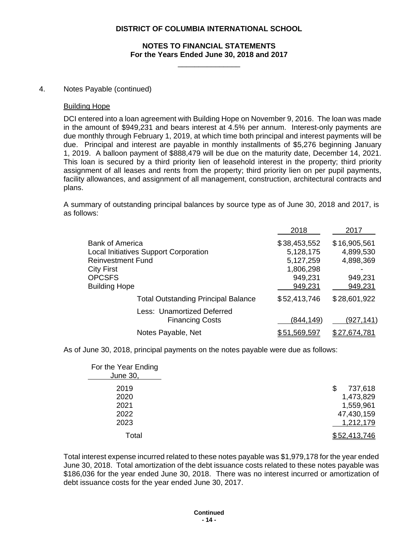#### **NOTES TO FINANCIAL STATEMENTS For the Years Ended June 30, 2018 and 2017**

\_\_\_\_\_\_\_\_\_\_\_\_\_\_\_

#### 4. Notes Payable (continued)

#### Building Hope

DCI entered into a loan agreement with Building Hope on November 9, 2016. The loan was made in the amount of \$949,231 and bears interest at 4.5% per annum. Interest-only payments are due monthly through February 1, 2019, at which time both principal and interest payments will be due. Principal and interest are payable in monthly installments of \$5,276 beginning January 1, 2019. A balloon payment of \$888,479 will be due on the maturity date, December 14, 2021. This loan is secured by a third priority lien of leasehold interest in the property; third priority assignment of all leases and rents from the property; third priority lien on per pupil payments, facility allowances, and assignment of all management, construction, architectural contracts and plans.

A summary of outstanding principal balances by source type as of June 30, 2018 and 2017, is as follows:

|                                            | 2018                | 2017                |
|--------------------------------------------|---------------------|---------------------|
| Bank of America                            | \$38,453,552        | \$16,905,561        |
| Local Initiatives Support Corporation      | 5,128,175           | 4,899,530           |
| <b>Reinvestment Fund</b>                   | 5,127,259           | 4,898,369           |
| City First                                 | 1,806,298           |                     |
| <b>OPCSFS</b>                              | 949,231             | 949,231             |
| <b>Building Hope</b>                       | 949,231             | 949,231             |
| <b>Total Outstanding Principal Balance</b> | \$52,413,746        | \$28,601,922        |
| Less: Unamortized Deferred                 |                     |                     |
| <b>Financing Costs</b>                     | (844,149)           | (927, 141)          |
| Notes Payable, Net                         | <u>\$51,569,597</u> | <u>\$27,674,781</u> |

As of June 30, 2018, principal payments on the notes payable were due as follows:

| For the Year Ending<br>June 30, |               |
|---------------------------------|---------------|
| 2019                            | 737,618<br>\$ |
| 2020                            | 1,473,829     |
| 2021                            | 1,559,961     |
| 2022                            | 47,430,159    |
| 2023                            | 1,212,179     |
| Total                           | \$52,413,746  |

Total interest expense incurred related to these notes payable was \$1,979,178 for the year ended June 30, 2018. Total amortization of the debt issuance costs related to these notes payable was \$186,036 for the year ended June 30, 2018. There was no interest incurred or amortization of debt issuance costs for the year ended June 30, 2017.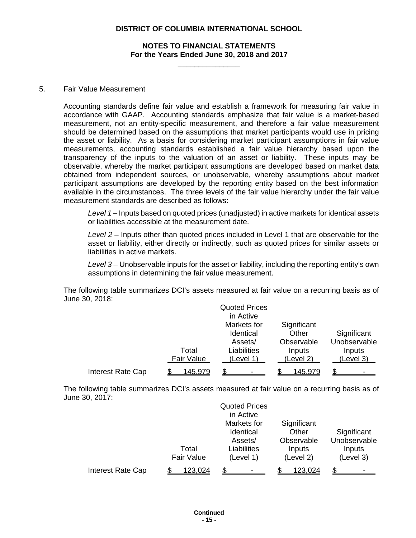#### **NOTES TO FINANCIAL STATEMENTS For the Years Ended June 30, 2018 and 2017**

\_\_\_\_\_\_\_\_\_\_\_\_\_\_\_

#### 5. Fair Value Measurement

Accounting standards define fair value and establish a framework for measuring fair value in accordance with GAAP. Accounting standards emphasize that fair value is a market-based measurement, not an entity-specific measurement, and therefore a fair value measurement should be determined based on the assumptions that market participants would use in pricing the asset or liability. As a basis for considering market participant assumptions in fair value measurements, accounting standards established a fair value hierarchy based upon the transparency of the inputs to the valuation of an asset or liability. These inputs may be observable, whereby the market participant assumptions are developed based on market data obtained from independent sources, or unobservable, whereby assumptions about market participant assumptions are developed by the reporting entity based on the best information available in the circumstances. The three levels of the fair value hierarchy under the fair value measurement standards are described as follows:

*Level 1 –* Inputs based on quoted prices (unadjusted) in active markets for identical assets or liabilities accessible at the measurement date.

*Level 2 –* Inputs other than quoted prices included in Level 1 that are observable for the asset or liability, either directly or indirectly, such as quoted prices for similar assets or liabilities in active markets.

*Level 3 –* Unobservable inputs for the asset or liability, including the reporting entity's own assumptions in determining the fair value measurement.

The following table summarizes DCI's assets measured at fair value on a recurring basis as of June 30, 2018:

|                   |                | <b>Quoted Prices</b><br>in Active |                |              |
|-------------------|----------------|-----------------------------------|----------------|--------------|
|                   |                | Markets for                       | Significant    |              |
|                   |                | Identical                         | Other          | Significant  |
|                   |                | Assets/                           | Observable     | Unobservable |
|                   | Total          | Liabilities                       | Inputs         | Inputs       |
|                   | Fair Value     | (Level 1)                         | (Level 2)      | (Level 3)    |
| Interest Rate Cap | <u>145,979</u> | ፍ                                 | <u>145,979</u> | ፍ<br>-       |

The following table summarizes DCI's assets measured at fair value on a recurring basis as of June 30, 2017:

|                   |            | <b>Quoted Prices</b><br>in Active |             |              |
|-------------------|------------|-----------------------------------|-------------|--------------|
|                   |            | Markets for                       | Significant |              |
|                   |            | Identical                         | Other       | Significant  |
|                   |            | Assets/                           | Observable  | Unobservable |
|                   | Total      | Liabilities                       | Inputs      | Inputs       |
|                   | Fair Value | (Level 1)                         | (Level 2)   | (Level 3)    |
| Interest Rate Cap | 123.024    |                                   | 123.024     |              |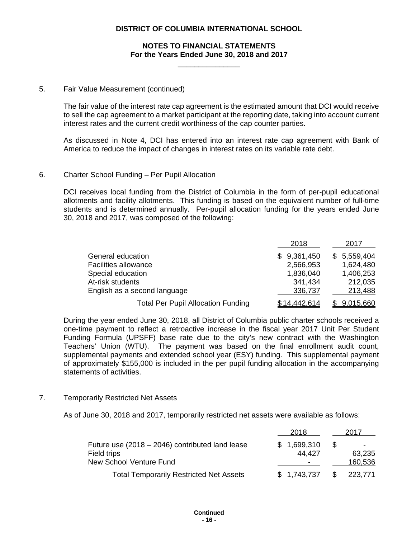#### **NOTES TO FINANCIAL STATEMENTS For the Years Ended June 30, 2018 and 2017**

\_\_\_\_\_\_\_\_\_\_\_\_\_\_\_

#### 5. Fair Value Measurement (continued)

The fair value of the interest rate cap agreement is the estimated amount that DCI would receive to sell the cap agreement to a market participant at the reporting date, taking into account current interest rates and the current credit worthiness of the cap counter parties.

As discussed in Note 4, DCI has entered into an interest rate cap agreement with Bank of America to reduce the impact of changes in interest rates on its variable rate debt.

#### 6. Charter School Funding – Per Pupil Allocation

DCI receives local funding from the District of Columbia in the form of per-pupil educational allotments and facility allotments. This funding is based on the equivalent number of full-time students and is determined annually. Per-pupil allocation funding for the years ended June 30, 2018 and 2017, was composed of the following:

|                                           | 2018         | 2017        |
|-------------------------------------------|--------------|-------------|
| General education                         | \$9,361,450  | \$5,559,404 |
| <b>Facilities allowance</b>               | 2,566,953    | 1,624,480   |
| Special education                         | 1,836,040    | 1,406,253   |
| At-risk students                          | 341,434      | 212,035     |
| English as a second language              | 336,737      | 213,488     |
| <b>Total Per Pupil Allocation Funding</b> | \$14,442,614 | 9,015,660   |

During the year ended June 30, 2018, all District of Columbia public charter schools received a one-time payment to reflect a retroactive increase in the fiscal year 2017 Unit Per Student Funding Formula (UPSFF) base rate due to the city's new contract with the Washington Teachers' Union (WTU). The payment was based on the final enrollment audit count, supplemental payments and extended school year (ESY) funding. This supplemental payment of approximately \$155,000 is included in the per pupil funding allocation in the accompanying statements of activities.

7. Temporarily Restricted Net Assets

As of June 30, 2018 and 2017, temporarily restricted net assets were available as follows:

|                                                 | 2018               |     | 2017           |
|-------------------------------------------------|--------------------|-----|----------------|
| Future use (2018 – 2046) contributed land lease | \$1,699,310        | \$. | -              |
| Field trips                                     | 44.427             |     | 63,235         |
| New School Venture Fund                         |                    |     | 160,536        |
| <b>Total Temporarily Restricted Net Assets</b>  | <u>\$1,743,737</u> |     | <u>223,771</u> |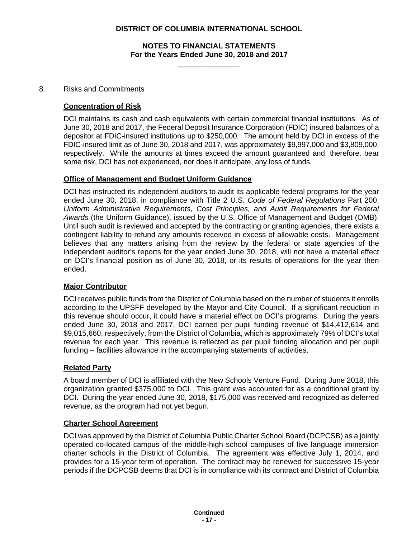**NOTES TO FINANCIAL STATEMENTS For the Years Ended June 30, 2018 and 2017**

\_\_\_\_\_\_\_\_\_\_\_\_\_\_\_

#### 8. Risks and Commitments

#### **Concentration of Risk**

DCI maintains its cash and cash equivalents with certain commercial financial institutions. As of June 30, 2018 and 2017, the Federal Deposit Insurance Corporation (FDIC) insured balances of a depositor at FDIC-insured institutions up to \$250,000. The amount held by DCI in excess of the FDIC-insured limit as of June 30, 2018 and 2017, was approximately \$9,997,000 and \$3,809,000, respectively. While the amounts at times exceed the amount guaranteed and, therefore, bear some risk, DCI has not experienced, nor does it anticipate, any loss of funds.

#### **Office of Management and Budget Uniform Guidance**

DCI has instructed its independent auditors to audit its applicable federal programs for the year ended June 30, 2018, in compliance with Title 2 U.S. *Code of Federal Regulations* Part 200, *Uniform Administrative Requirements, Cost Principles, and Audit Requirements for Federal Awards* (the Uniform Guidance), issued by the U.S. Office of Management and Budget (OMB). Until such audit is reviewed and accepted by the contracting or granting agencies, there exists a contingent liability to refund any amounts received in excess of allowable costs. Management believes that any matters arising from the review by the federal or state agencies of the independent auditor's reports for the year ended June 30, 2018, will not have a material effect on DCI's financial position as of June 30, 2018, or its results of operations for the year then ended.

#### **Major Contributor**

DCI receives public funds from the District of Columbia based on the number of students it enrolls according to the UPSFF developed by the Mayor and City Council. If a significant reduction in this revenue should occur, it could have a material effect on DCI's programs. During the years ended June 30, 2018 and 2017, DCI earned per pupil funding revenue of \$14,412,614 and \$9,015,660, respectively, from the District of Columbia, which is approximately 79% of DCI's total revenue for each year. This revenue is reflected as per pupil funding allocation and per pupil funding – facilities allowance in the accompanying statements of activities.

#### **Related Party**

A board member of DCI is affiliated with the New Schools Venture Fund. During June 2018, this organization granted \$375,000 to DCI. This grant was accounted for as a conditional grant by DCI. During the year ended June 30, 2018, \$175,000 was received and recognized as deferred revenue, as the program had not yet begun.

#### **Charter School Agreement**

DCI was approved by the District of Columbia Public Charter School Board (DCPCSB) as a jointly operated co-located campus of the middle-high school campuses of five language immersion charter schools in the District of Columbia. The agreement was effective July 1, 2014, and provides for a 15-year term of operation. The contract may be renewed for successive 15-year periods if the DCPCSB deems that DCI is in compliance with its contract and District of Columbia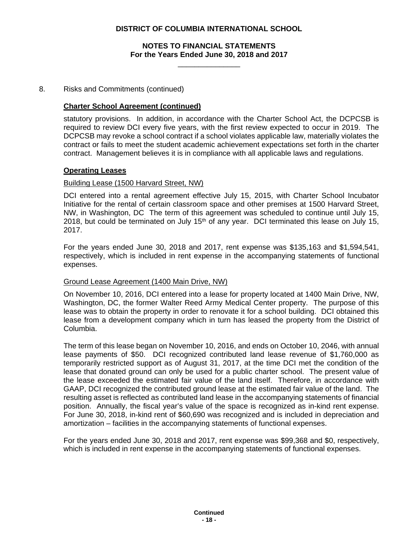#### **NOTES TO FINANCIAL STATEMENTS For the Years Ended June 30, 2018 and 2017**

\_\_\_\_\_\_\_\_\_\_\_\_\_\_\_

#### 8. Risks and Commitments (continued)

#### **Charter School Agreement (continued)**

statutory provisions. In addition, in accordance with the Charter School Act, the DCPCSB is required to review DCI every five years, with the first review expected to occur in 2019. The DCPCSB may revoke a school contract if a school violates applicable law, materially violates the contract or fails to meet the student academic achievement expectations set forth in the charter contract. Management believes it is in compliance with all applicable laws and regulations.

#### **Operating Leases**

#### Building Lease (1500 Harvard Street, NW)

DCI entered into a rental agreement effective July 15, 2015, with Charter School Incubator Initiative for the rental of certain classroom space and other premises at 1500 Harvard Street, NW, in Washington, DC The term of this agreement was scheduled to continue until July 15, 2018, but could be terminated on July  $15<sup>th</sup>$  of any year. DCI terminated this lease on July 15, 2017.

For the years ended June 30, 2018 and 2017, rent expense was \$135,163 and \$1,594,541, respectively, which is included in rent expense in the accompanying statements of functional expenses.

#### Ground Lease Agreement (1400 Main Drive, NW)

On November 10, 2016, DCI entered into a lease for property located at 1400 Main Drive, NW, Washington, DC, the former Walter Reed Army Medical Center property. The purpose of this lease was to obtain the property in order to renovate it for a school building. DCI obtained this lease from a development company which in turn has leased the property from the District of Columbia.

The term of this lease began on November 10, 2016, and ends on October 10, 2046, with annual lease payments of \$50. DCI recognized contributed land lease revenue of \$1,760,000 as temporarily restricted support as of August 31, 2017, at the time DCI met the condition of the lease that donated ground can only be used for a public charter school. The present value of the lease exceeded the estimated fair value of the land itself. Therefore, in accordance with GAAP, DCI recognized the contributed ground lease at the estimated fair value of the land. The resulting asset is reflected as contributed land lease in the accompanying statements of financial position. Annually, the fiscal year's value of the space is recognized as in-kind rent expense. For June 30, 2018, in-kind rent of \$60,690 was recognized and is included in depreciation and amortization – facilities in the accompanying statements of functional expenses.

For the years ended June 30, 2018 and 2017, rent expense was \$99,368 and \$0, respectively, which is included in rent expense in the accompanying statements of functional expenses.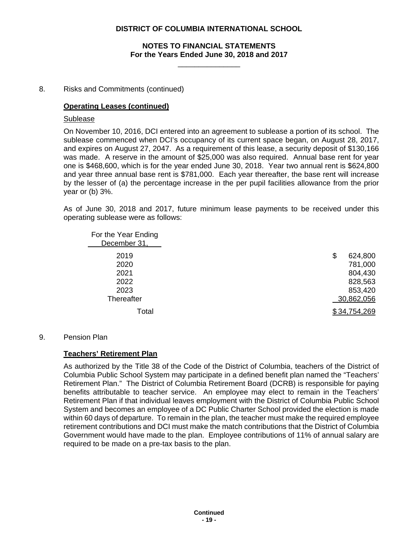#### **NOTES TO FINANCIAL STATEMENTS For the Years Ended June 30, 2018 and 2017**

\_\_\_\_\_\_\_\_\_\_\_\_\_\_\_

#### 8. Risks and Commitments (continued)

#### **Operating Leases (continued)**

#### Sublease

On November 10, 2016, DCI entered into an agreement to sublease a portion of its school. The sublease commenced when DCI's occupancy of its current space began, on August 28, 2017, and expires on August 27, 2047. As a requirement of this lease, a security deposit of \$130,166 was made. A reserve in the amount of \$25,000 was also required. Annual base rent for year one is \$468,600, which is for the year ended June 30, 2018. Year two annual rent is \$624,800 and year three annual base rent is \$781,000. Each year thereafter, the base rent will increase by the lesser of (a) the percentage increase in the per pupil facilities allowance from the prior year or (b) 3%.

As of June 30, 2018 and 2017, future minimum lease payments to be received under this operating sublease were as follows:

| For the Year Ending<br>December 31, |               |
|-------------------------------------|---------------|
| 2019                                | 624,800<br>\$ |
| 2020                                | 781,000       |
| 2021                                | 804,430       |
| 2022                                | 828,563       |
| 2023                                | 853,420       |
| Thereafter                          | 30,862,056    |
| Total                               | \$34,754,269  |

9. Pension Plan

#### **Teachers' Retirement Plan**

As authorized by the Title 38 of the Code of the District of Columbia, teachers of the District of Columbia Public School System may participate in a defined benefit plan named the "Teachers' Retirement Plan." The District of Columbia Retirement Board (DCRB) is responsible for paying benefits attributable to teacher service. An employee may elect to remain in the Teachers' Retirement Plan if that individual leaves employment with the District of Columbia Public School System and becomes an employee of a DC Public Charter School provided the election is made within 60 days of departure. To remain in the plan, the teacher must make the required employee retirement contributions and DCI must make the match contributions that the District of Columbia Government would have made to the plan. Employee contributions of 11% of annual salary are required to be made on a pre-tax basis to the plan.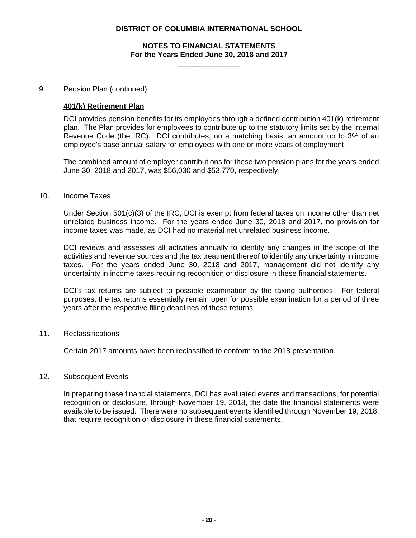#### **NOTES TO FINANCIAL STATEMENTS For the Years Ended June 30, 2018 and 2017**

\_\_\_\_\_\_\_\_\_\_\_\_\_\_\_

#### 9. Pension Plan (continued)

#### **401(k) Retirement Plan**

DCI provides pension benefits for its employees through a defined contribution 401(k) retirement plan. The Plan provides for employees to contribute up to the statutory limits set by the Internal Revenue Code (the IRC). DCI contributes, on a matching basis, an amount up to 3% of an employee's base annual salary for employees with one or more years of employment.

The combined amount of employer contributions for these two pension plans for the years ended June 30, 2018 and 2017, was \$56,030 and \$53,770, respectively.

#### 10. Income Taxes

Under Section 501(c)(3) of the IRC, DCI is exempt from federal taxes on income other than net unrelated business income. For the years ended June 30, 2018 and 2017, no provision for income taxes was made, as DCI had no material net unrelated business income.

DCI reviews and assesses all activities annually to identify any changes in the scope of the activities and revenue sources and the tax treatment thereof to identify any uncertainty in income taxes. For the years ended June 30, 2018 and 2017, management did not identify any uncertainty in income taxes requiring recognition or disclosure in these financial statements.

DCI's tax returns are subject to possible examination by the taxing authorities. For federal purposes, the tax returns essentially remain open for possible examination for a period of three years after the respective filing deadlines of those returns.

#### 11. Reclassifications

Certain 2017 amounts have been reclassified to conform to the 2018 presentation.

#### 12. Subsequent Events

In preparing these financial statements, DCI has evaluated events and transactions, for potential recognition or disclosure, through November 19, 2018, the date the financial statements were available to be issued. There were no subsequent events identified through November 19, 2018, that require recognition or disclosure in these financial statements.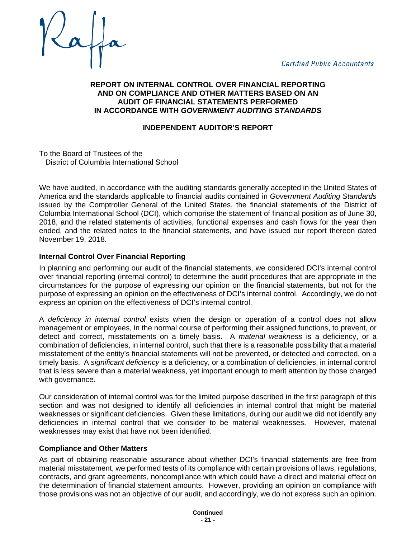**Certified Public Accountants** 

# **REPORT ON INTERNAL CONTROL OVER FINANCIAL REPORTING AND ON COMPLIANCE AND OTHER MATTERS BASED ON AN AUDIT OF FINANCIAL STATEMENTS PERFORMED IN ACCORDANCE WITH** *GOVERNMENT AUDITING STANDARDS*

# **INDEPENDENT AUDITOR'S REPORT**

To the Board of Trustees of the District of Columbia International School

We have audited, in accordance with the auditing standards generally accepted in the United States of America and the standards applicable to financial audits contained in *Government Auditing Standards* issued by the Comptroller General of the United States, the financial statements of the District of Columbia International School (DCI), which comprise the statement of financial position as of June 30, 2018, and the related statements of activities, functional expenses and cash flows for the year then ended, and the related notes to the financial statements, and have issued our report thereon dated November 19, 2018.

# **Internal Control Over Financial Reporting**

In planning and performing our audit of the financial statements, we considered DCI's internal control over financial reporting (internal control) to determine the audit procedures that are appropriate in the circumstances for the purpose of expressing our opinion on the financial statements, but not for the purpose of expressing an opinion on the effectiveness of DCI's internal control. Accordingly, we do not express an opinion on the effectiveness of DCI's internal control.

A *deficiency in internal control* exists when the design or operation of a control does not allow management or employees, in the normal course of performing their assigned functions, to prevent, or detect and correct, misstatements on a timely basis. A *material weakness* is a deficiency, or a combination of deficiencies, in internal control, such that there is a reasonable possibility that a material misstatement of the entity's financial statements will not be prevented, or detected and corrected, on a timely basis. A *significant deficiency* is a deficiency, or a combination of deficiencies, in internal control that is less severe than a material weakness, yet important enough to merit attention by those charged with governance.

Our consideration of internal control was for the limited purpose described in the first paragraph of this section and was not designed to identify all deficiencies in internal control that might be material weaknesses or significant deficiencies. Given these limitations, during our audit we did not identify any deficiencies in internal control that we consider to be material weaknesses. However, material weaknesses may exist that have not been identified.

# **Compliance and Other Matters**

As part of obtaining reasonable assurance about whether DCI's financial statements are free from material misstatement, we performed tests of its compliance with certain provisions of laws, regulations, contracts, and grant agreements, noncompliance with which could have a direct and material effect on the determination of financial statement amounts. However, providing an opinion on compliance with those provisions was not an objective of our audit, and accordingly, we do not express such an opinion.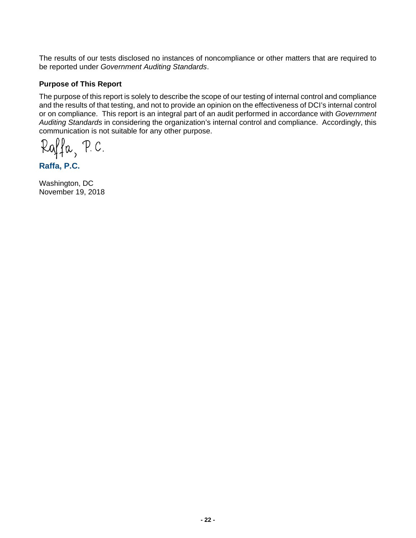The results of our tests disclosed no instances of noncompliance or other matters that are required to be reported under *Government Auditing Standards*.

# **Purpose of This Report**

The purpose of this report is solely to describe the scope of our testing of internal control and compliance and the results of that testing, and not to provide an opinion on the effectiveness of DCI's internal control or on compliance. This report is an integral part of an audit performed in accordance with *Government Auditing Standards* in considering the organization's internal control and compliance. Accordingly, this communication is not suitable for any other purpose.

Raffa, P.C.

**Raffa, P.C.**

Washington, DC November 19, 2018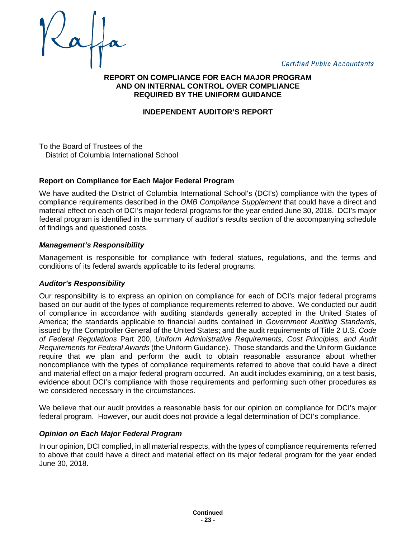**Certified Public Accountants** 

# **REPORT ON COMPLIANCE FOR EACH MAJOR PROGRAM AND ON INTERNAL CONTROL OVER COMPLIANCE REQUIRED BY THE UNIFORM GUIDANCE**

# **INDEPENDENT AUDITOR'S REPORT**

To the Board of Trustees of the District of Columbia International School

# **Report on Compliance for Each Major Federal Program**

We have audited the District of Columbia International School's (DCI's) compliance with the types of compliance requirements described in the *OMB Compliance Supplement* that could have a direct and material effect on each of DCI's major federal programs for the year ended June 30, 2018. DCI's major federal program is identified in the summary of auditor's results section of the accompanying schedule of findings and questioned costs.

# *Management's Responsibility*

Management is responsible for compliance with federal statues, regulations, and the terms and conditions of its federal awards applicable to its federal programs.

# *Auditor's Responsibility*

Our responsibility is to express an opinion on compliance for each of DCI's major federal programs based on our audit of the types of compliance requirements referred to above. We conducted our audit of compliance in accordance with auditing standards generally accepted in the United States of America; the standards applicable to financial audits contained in *Government Auditing Standards*, issued by the Comptroller General of the United States; and the audit requirements of Title 2 U.S. *Code of Federal Regulations* Part 200, *Uniform Administrative Requirements, Cost Principles, and Audit Requirements for Federal Awards* (the Uniform Guidance).Those standards and the Uniform Guidance require that we plan and perform the audit to obtain reasonable assurance about whether noncompliance with the types of compliance requirements referred to above that could have a direct and material effect on a major federal program occurred. An audit includes examining, on a test basis, evidence about DCI's compliance with those requirements and performing such other procedures as we considered necessary in the circumstances.

We believe that our audit provides a reasonable basis for our opinion on compliance for DCI's major federal program. However, our audit does not provide a legal determination of DCI's compliance.

# *Opinion on Each Major Federal Program*

In our opinion, DCI complied, in all material respects, with the types of compliance requirements referred to above that could have a direct and material effect on its major federal program for the year ended June 30, 2018.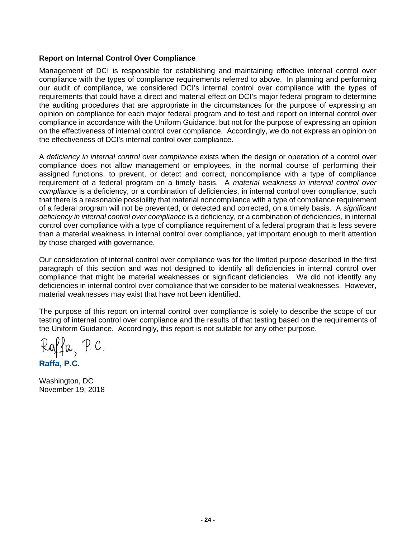# **Report on Internal Control Over Compliance**

Management of DCI is responsible for establishing and maintaining effective internal control over compliance with the types of compliance requirements referred to above. In planning and performing our audit of compliance, we considered DCI's internal control over compliance with the types of requirements that could have a direct and material effect on DCI's major federal program to determine the auditing procedures that are appropriate in the circumstances for the purpose of expressing an opinion on compliance for each major federal program and to test and report on internal control over compliance in accordance with the Uniform Guidance, but not for the purpose of expressing an opinion on the effectiveness of internal control over compliance. Accordingly, we do not express an opinion on the effectiveness of DCI's internal control over compliance.

A *deficiency in internal control over compliance* exists when the design or operation of a control over compliance does not allow management or employees, in the normal course of performing their assigned functions, to prevent, or detect and correct, noncompliance with a type of compliance requirement of a federal program on a timely basis. A *material weakness in internal control over compliance* is a deficiency, or a combination of deficiencies, in internal control over compliance, such that there is a reasonable possibility that material noncompliance with a type of compliance requirement of a federal program will not be prevented, or detected and corrected, on a timely basis. A *significant deficiency in internal control over compliance* is a deficiency, or a combination of deficiencies, in internal control over compliance with a type of compliance requirement of a federal program that is less severe than a material weakness in internal control over compliance, yet important enough to merit attention by those charged with governance.

Our consideration of internal control over compliance was for the limited purpose described in the first paragraph of this section and was not designed to identify all deficiencies in internal control over compliance that might be material weaknesses or significant deficiencies. We did not identify any deficiencies in internal control over compliance that we consider to be material weaknesses. However, material weaknesses may exist that have not been identified.

The purpose of this report on internal control over compliance is solely to describe the scope of our testing of internal control over compliance and the results of that testing based on the requirements of the Uniform Guidance. Accordingly, this report is not suitable for any other purpose.

Raffa, P.C.

**Raffa, P.C.**

Washington, DC November 19, 2018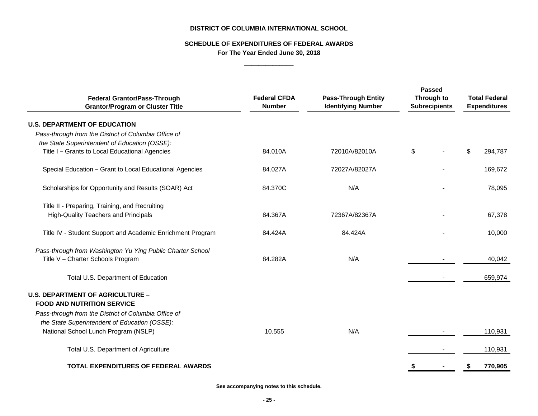# **SCHEDULE OF EXPENDITURES OF FEDERAL AWARDS For The Year Ended June 30, 2018**

\_\_\_\_\_\_\_\_\_\_\_\_\_\_

| <b>Federal Grantor/Pass-Through</b><br><b>Grantor/Program or Cluster Title</b> | <b>Federal CFDA</b><br><b>Number</b> | <b>Pass-Through Entity</b><br><b>Identifying Number</b> | <b>Passed</b><br>Through to<br><b>Subrecipients</b> | <b>Total Federal</b><br><b>Expenditures</b> |
|--------------------------------------------------------------------------------|--------------------------------------|---------------------------------------------------------|-----------------------------------------------------|---------------------------------------------|
| <b>U.S. DEPARTMENT OF EDUCATION</b>                                            |                                      |                                                         |                                                     |                                             |
| Pass-through from the District of Columbia Office of                           |                                      |                                                         |                                                     |                                             |
| the State Superintendent of Education (OSSE):                                  |                                      |                                                         |                                                     |                                             |
| Title I - Grants to Local Educational Agencies                                 | 84.010A                              | 72010A/82010A                                           | \$                                                  | \$<br>294,787                               |
| Special Education - Grant to Local Educational Agencies                        | 84.027A                              | 72027A/82027A                                           |                                                     | 169,672                                     |
| Scholarships for Opportunity and Results (SOAR) Act                            | 84.370C                              | N/A                                                     |                                                     | 78,095                                      |
| Title II - Preparing, Training, and Recruiting                                 |                                      |                                                         |                                                     |                                             |
| <b>High-Quality Teachers and Principals</b>                                    | 84.367A                              | 72367A/82367A                                           |                                                     | 67,378                                      |
| Title IV - Student Support and Academic Enrichment Program                     | 84.424A                              | 84.424A                                                 |                                                     | 10,000                                      |
| Pass-through from Washington Yu Ying Public Charter School                     |                                      |                                                         |                                                     |                                             |
| Title V - Charter Schools Program                                              | 84.282A                              | N/A                                                     |                                                     | 40,042                                      |
| Total U.S. Department of Education                                             |                                      |                                                         |                                                     | 659,974                                     |
| <b>U.S. DEPARTMENT OF AGRICULTURE -</b>                                        |                                      |                                                         |                                                     |                                             |
| <b>FOOD AND NUTRITION SERVICE</b>                                              |                                      |                                                         |                                                     |                                             |
| Pass-through from the District of Columbia Office of                           |                                      |                                                         |                                                     |                                             |
| the State Superintendent of Education (OSSE):                                  |                                      |                                                         |                                                     |                                             |
| National School Lunch Program (NSLP)                                           | 10.555                               | N/A                                                     |                                                     | 110,931                                     |
| Total U.S. Department of Agriculture                                           |                                      |                                                         |                                                     | 110,931                                     |
| <b>TOTAL EXPENDITURES OF FEDERAL AWARDS</b>                                    |                                      |                                                         | \$                                                  | 770,905                                     |

**See accompanying notes to this schedule.**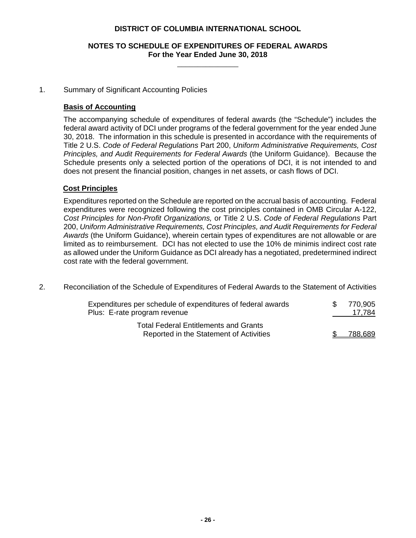# **NOTES TO SCHEDULE OF EXPENDITURES OF FEDERAL AWARDS For the Year Ended June 30, 2018**

\_\_\_\_\_\_\_\_\_\_\_\_\_\_\_

#### 1. Summary of Significant Accounting Policies

#### **Basis of Accounting**

The accompanying schedule of expenditures of federal awards (the "Schedule") includes the federal award activity of DCI under programs of the federal government for the year ended June 30, 2018. The information in this schedule is presented in accordance with the requirements of Title 2 U.S. *Code of Federal Regulations* Part 200, *Uniform Administrative Requirements, Cost Principles, and Audit Requirements for Federal Awards* (the Uniform Guidance). Because the Schedule presents only a selected portion of the operations of DCI, it is not intended to and does not present the financial position, changes in net assets, or cash flows of DCI.

# **Cost Principles**

Expenditures reported on the Schedule are reported on the accrual basis of accounting. Federal expenditures were recognized following the cost principles contained in OMB Circular A-122, *Cost Principles for Non-Profit Organizations,* or Title 2 U.S. *Code of Federal Regulations* Part 200, *Uniform Administrative Requirements, Cost Principles, and Audit Requirements for Federal Awards* (the Uniform Guidance), wherein certain types of expenditures are not allowable or are limited as to reimbursement. DCI has not elected to use the 10% de minimis indirect cost rate as allowed under the Uniform Guidance as DCI already has a negotiated, predetermined indirect cost rate with the federal government.

2. Reconciliation of the Schedule of Expenditures of Federal Awards to the Statement of Activities

| Expenditures per schedule of expenditures of federal awards                             |  | 770.905 |
|-----------------------------------------------------------------------------------------|--|---------|
| Plus: E-rate program revenue                                                            |  | 17,784  |
| <b>Total Federal Entitlements and Grants</b><br>Reported in the Statement of Activities |  | 788.689 |